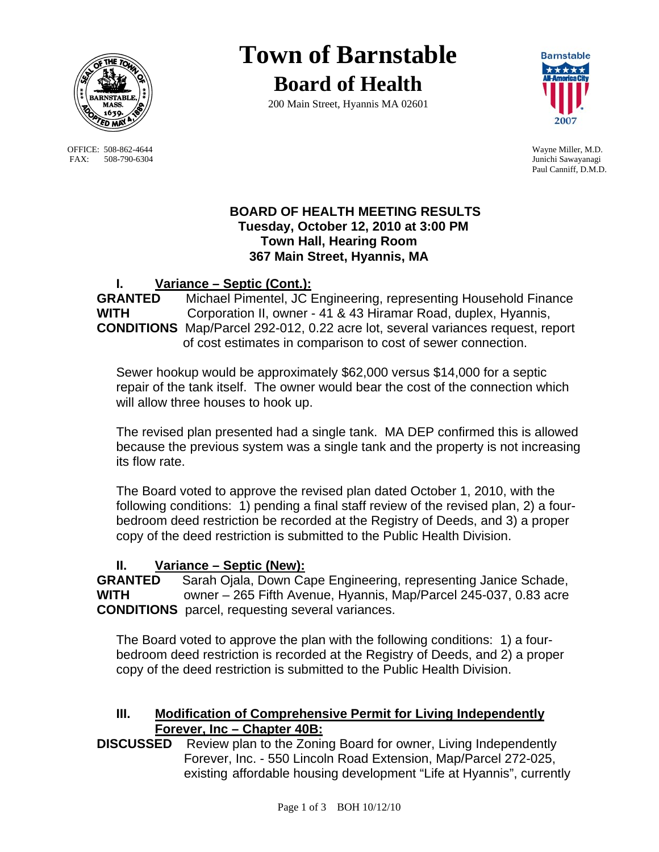

OFFICE: 508-862-4644 Wayne Miller, M.D.<br>
FAX: 508-790-6304 Junichi Sawayanagi FAX: 508-790-6304

# **Town of Barnstable**

**Board of Health**

200 Main Street, Hyannis MA 02601



Paul Canniff, D.M.D.

## **BOARD OF HEALTH MEETING RESULTS Tuesday, October 12, 2010 at 3:00 PM Town Hall, Hearing Room 367 Main Street, Hyannis, MA**

# **I. Variance – Septic (Cont.):**

**GRANTED** Michael Pimentel, JC Engineering, representing Household Finance **WITH** Corporation II, owner - 41 & 43 Hiramar Road, duplex, Hyannis, **CONDITIONS** Map/Parcel 292-012, 0.22 acre lot, several variances request, report of cost estimates in comparison to cost of sewer connection.

Sewer hookup would be approximately \$62,000 versus \$14,000 for a septic repair of the tank itself. The owner would bear the cost of the connection which will allow three houses to hook up.

The revised plan presented had a single tank. MA DEP confirmed this is allowed because the previous system was a single tank and the property is not increasing its flow rate.

The Board voted to approve the revised plan dated October 1, 2010, with the following conditions: 1) pending a final staff review of the revised plan, 2) a fourbedroom deed restriction be recorded at the Registry of Deeds, and 3) a proper copy of the deed restriction is submitted to the Public Health Division.

# **II. Variance – Septic (New):**

**GRANTED** Sarah Ojala, Down Cape Engineering, representing Janice Schade, **WITH** owner – 265 Fifth Avenue, Hyannis, Map/Parcel 245-037, 0.83 acre **CONDITIONS** parcel, requesting several variances.

The Board voted to approve the plan with the following conditions: 1) a fourbedroom deed restriction is recorded at the Registry of Deeds, and 2) a proper copy of the deed restriction is submitted to the Public Health Division.

## **III. Modification of Comprehensive Permit for Living Independently Forever, Inc – Chapter 40B:**

**DISCUSSED** Review plan to the Zoning Board for owner, Living Independently Forever, Inc. - 550 Lincoln Road Extension, Map/Parcel 272-025, existing affordable housing development "Life at Hyannis", currently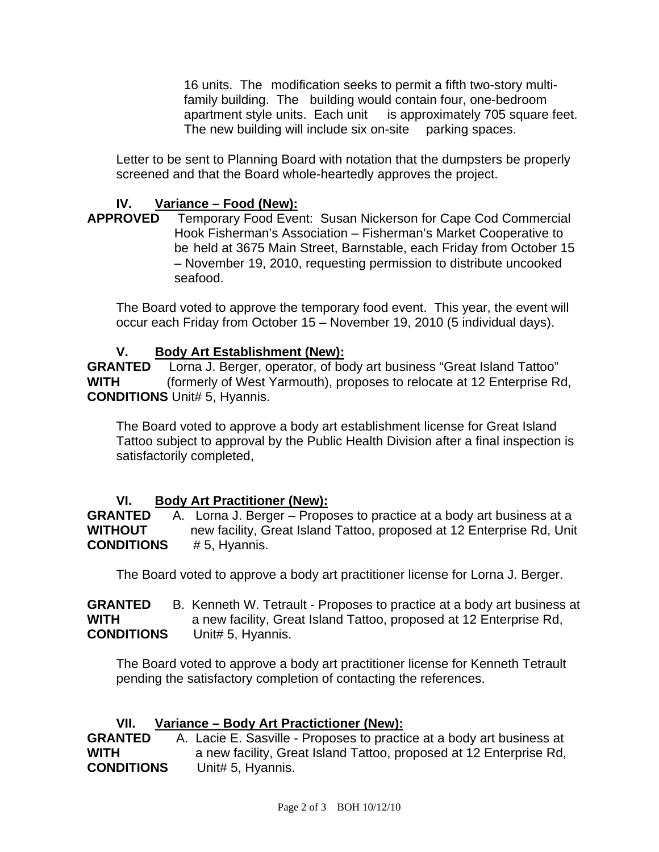16 units. The modification seeks to permit a fifth two-story multifamily building. The building would contain four, one-bedroom apartment style units. Each unit is approximately 705 square feet. The new building will include six on-site parking spaces.

Letter to be sent to Planning Board with notation that the dumpsters be properly screened and that the Board whole-heartedly approves the project.

# **IV.** Variance – Food (New):<br>APPROVED Temporary Food Ever

Temporary Food Event: Susan Nickerson for Cape Cod Commercial Hook Fisherman's Association – Fisherman's Market Cooperative to be held at 3675 Main Street, Barnstable, each Friday from October 15 – November 19, 2010, requesting permission to distribute uncooked seafood.

The Board voted to approve the temporary food event. This year, the event will occur each Friday from October 15 – November 19, 2010 (5 individual days).

#### **V. Body Art Establishment (New):**

**GRANTED** Lorna J. Berger, operator, of body art business "Great Island Tattoo" **WITH** (formerly of West Yarmouth), proposes to relocate at 12 Enterprise Rd, **CONDITIONS** Unit# 5, Hyannis.

The Board voted to approve a body art establishment license for Great Island Tattoo subject to approval by the Public Health Division after a final inspection is satisfactorily completed,

#### **VI. Body Art Practitioner (New):**

**GRANTED** A. Lorna J. Berger – Proposes to practice at a body art business at a **WITHOUT** new facility, Great Island Tattoo, proposed at 12 Enterprise Rd, Unit **CONDITIONS** # 5, Hyannis.

The Board voted to approve a body art practitioner license for Lorna J. Berger.

**GRANTED** B. Kenneth W. Tetrault - Proposes to practice at a body art business at **WITH a** new facility, Great Island Tattoo, proposed at 12 Enterprise Rd, **CONDITIONS** Unit# 5, Hyannis.

The Board voted to approve a body art practitioner license for Kenneth Tetrault pending the satisfactory completion of contacting the references.

# **VII.** Variance – Body Art Practictioner (New):<br>GRANTED – A. Lacie E. Sasville - Proposes to practi

A. Lacie E. Sasville - Proposes to practice at a body art business at **WITH a** new facility, Great Island Tattoo, proposed at 12 Enterprise Rd, **CONDITIONS** Unit# 5, Hyannis.